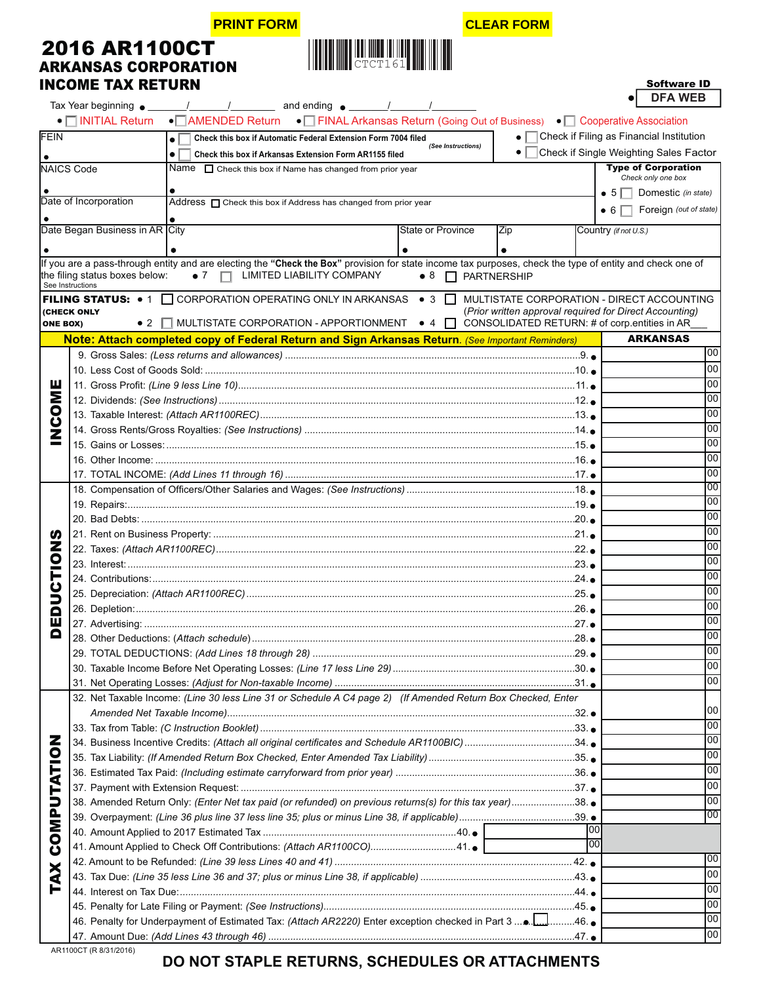### **PRINT FORM CLEAR FORM**



Software ID

 $\overline{\phantom{a}}$ 

| <b>2016 AR1100CT</b>        |  |
|-----------------------------|--|
| <b>ARKANSAS CORPORATION</b> |  |
| <b>INCOME TAX RETURN</b>    |  |

|                 |                                 | $\overline{1}$<br>and ending $\bullet$ / /                                                                                                                    |     | <b>DFA WEB</b>                                          |
|-----------------|---------------------------------|---------------------------------------------------------------------------------------------------------------------------------------------------------------|-----|---------------------------------------------------------|
|                 | $\bullet$ $\Box$ INITIAL Return | • AMENDED Return • FINAL Arkansas Return (Going Out of Business) • C Cooperative Association                                                                  |     |                                                         |
|                 |                                 |                                                                                                                                                               |     |                                                         |
| FEIN            |                                 | Check this box if Automatic Federal Extension Form 7004 filed<br>$\bullet$ $\vdash$<br>$\bullet$<br>(See Instructions)                                        |     | Check if Filing as Financial Institution                |
|                 |                                 | ٠<br>$\bullet$<br>Check this box if Arkansas Extension Form AR1155 filed                                                                                      |     | Check if Single Weighting Sales Factor                  |
|                 | <b>NAICS Code</b>               | Name $\Box$ Check this box if Name has changed from prior year                                                                                                |     | <b>Type of Corporation</b><br>Check only one box        |
|                 |                                 |                                                                                                                                                               |     | • $5 \Box$ Domestic (in state)                          |
|                 | Date of Incorporation           | Address $\Box$ Check this box if Address has changed from prior year                                                                                          |     |                                                         |
|                 |                                 |                                                                                                                                                               |     | Foreign (out of state)<br>• 6                           |
|                 | Date Began Business in AR City  | State or Province<br>Zip                                                                                                                                      |     | Country (if not U.S.)                                   |
|                 |                                 |                                                                                                                                                               |     |                                                         |
|                 |                                 | ٠<br>If you are a pass-through entity and are electing the "Check the Box" provision for state income tax purposes, check the type of entity and check one of |     |                                                         |
|                 | the filing status boxes below:  | LIMITED LIABILITY COMPANY<br>$\bullet$ 7<br>$\Box$<br>$\bullet$ 8 $\Box$ PARTNERSHIP                                                                          |     |                                                         |
|                 | See Instructions                |                                                                                                                                                               |     |                                                         |
|                 |                                 | <b>FILING STATUS:</b> $\bullet$ 1 $\Box$ CORPORATION OPERATING ONLY IN ARKANSAS $\bullet$ 3 $\Box$                                                            |     | MULTISTATE CORPORATION - DIRECT ACCOUNTING              |
|                 | <b>(CHECK ONLY</b>              | MULTISTATE CORPORATION - APPORTIONMENT ● 4 □                                                                                                                  |     | (Prior written approval required for Direct Accounting) |
| <b>ONE BOX)</b> | $\bullet$ 2                     |                                                                                                                                                               |     | CONSOLIDATED RETURN: # of corp.entities in AR           |
|                 |                                 | Note: Attach completed copy of Federal Return and Sign Arkansas Return. (See Important Reminders)                                                             |     | <b>ARKANSAS</b>                                         |
|                 |                                 |                                                                                                                                                               |     | 100                                                     |
|                 |                                 |                                                                                                                                                               |     | 00                                                      |
| ш               |                                 |                                                                                                                                                               |     | 00                                                      |
| Σ               |                                 |                                                                                                                                                               |     | 00                                                      |
| <b>OS</b>       |                                 |                                                                                                                                                               |     | 00                                                      |
|                 |                                 |                                                                                                                                                               |     | 00                                                      |
|                 |                                 |                                                                                                                                                               |     | 00                                                      |
|                 |                                 |                                                                                                                                                               |     | 00                                                      |
|                 |                                 |                                                                                                                                                               |     | 00                                                      |
|                 |                                 |                                                                                                                                                               |     | 00                                                      |
|                 |                                 |                                                                                                                                                               |     | 00                                                      |
|                 |                                 |                                                                                                                                                               |     | 00                                                      |
| ഗ               |                                 |                                                                                                                                                               |     | 00                                                      |
| Z               |                                 |                                                                                                                                                               |     | 00                                                      |
| $\bullet$       |                                 |                                                                                                                                                               |     | 00                                                      |
|                 |                                 |                                                                                                                                                               |     | 00                                                      |
| ט<br>כ          |                                 |                                                                                                                                                               |     | 00                                                      |
|                 |                                 |                                                                                                                                                               |     | 00                                                      |
| Ō<br>ш          |                                 |                                                                                                                                                               |     | 00                                                      |
| o               |                                 |                                                                                                                                                               |     | 00                                                      |
|                 |                                 |                                                                                                                                                               |     | 00                                                      |
|                 |                                 |                                                                                                                                                               |     | 00                                                      |
|                 |                                 |                                                                                                                                                               |     | 00 <sub>0</sub>                                         |
|                 |                                 |                                                                                                                                                               |     |                                                         |
|                 |                                 | 32. Net Taxable Income: (Line 30 less Line 31 or Schedule A C4 page 2) (If Amended Return Box Checked, Enter                                                  |     | 00                                                      |
|                 |                                 |                                                                                                                                                               |     | 00                                                      |
| z               |                                 |                                                                                                                                                               |     | 00                                                      |
|                 |                                 | 34. Business Incentive Credits: (Attach all original certificates and Schedule AR1100BIC)34.                                                                  |     | 00                                                      |
|                 |                                 |                                                                                                                                                               |     | 00                                                      |
|                 |                                 |                                                                                                                                                               |     |                                                         |
|                 |                                 |                                                                                                                                                               |     | 00                                                      |
|                 |                                 | 38. Amended Return Only: (Enter Net tax paid (or refunded) on previous returns(s) for this tax year)38.                                                       |     | 00                                                      |
| COMPUTATIO      |                                 |                                                                                                                                                               |     | 00                                                      |
|                 |                                 |                                                                                                                                                               | 100 |                                                         |
|                 |                                 | 41. Amount Applied to Check Off Contributions: (Attach AR1100CO)41. •                                                                                         | 00  |                                                         |
|                 |                                 |                                                                                                                                                               |     | $\overline{00}$                                         |
| X               |                                 |                                                                                                                                                               |     | 00                                                      |
|                 |                                 |                                                                                                                                                               |     | 00                                                      |
|                 |                                 |                                                                                                                                                               |     | 00                                                      |
|                 |                                 | 46. Penalty for Underpayment of Estimated Tax: (Attach AR2220) Enter exception checked in Part 3 46. ●                                                        |     | 00                                                      |
|                 |                                 |                                                                                                                                                               |     | 00                                                      |
|                 | AD1100CT (D.0131/3016           |                                                                                                                                                               |     |                                                         |

# **DO NOT STAPLE RETURNS, SCHEDULES OR ATTACHMENTS**